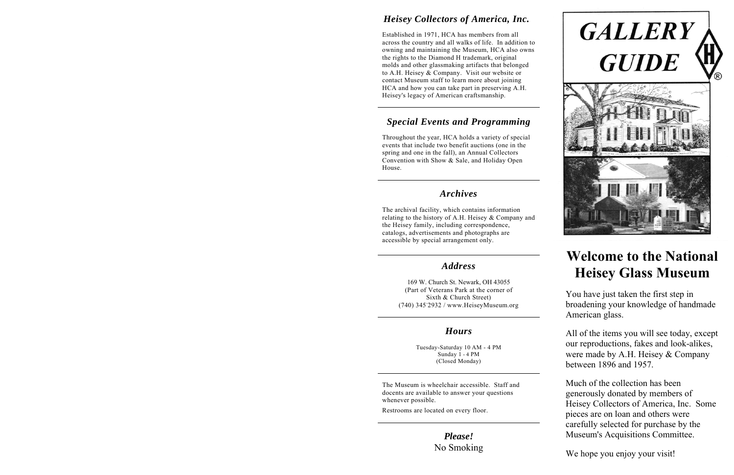# *Heisey Collectors of America, Inc.*

Established in 1971, HCA has members from all across the country and all walks of life. In addition to owning and maintaining the Museum, HCA also owns the rights to the Diamond H trademark, original molds and other glassmaking artifacts that belonged to A.H. Heisey & Company. Visit our website or contact Museum staff to learn more about joining HCA and how you can take part in preserving A.H. Heisey's legacy of American craftsmanship.

# *Special Events and Programming*

Throughout the year, HCA holds a variety of special events that include two benefit auctions (one in the spring and one in the fall), an Annual Collectors Convention with Show & Sale, and Holiday Open House.

### *Archives*

The archival facility, which contains information relating to the history of A.H. Heisey & Company and the Heisey family, including correspondence, catalogs, advertisements and photographs are accessible by special arrangement only.

## *Address*

169 W. Church St. Newark, OH 43055 (Part of Veterans Park at the corner of Sixth & Church Street) (740) 345-2932 / www.HeiseyMuseum.org

# *Hours*

Tuesday-Saturday 10 AM - 4 PM Sunday 1 - 4 PM (Closed Monday)

The Museum is wheelchair accessible. Staff and docents are available to answer your questions whenever possible.

Restrooms are located on every floor.

*Please!* No Smoking



# **Welcome to the National Heisey Glass Museum**

You have just taken the first step in broadening your knowledge of handmade American glass.

All of the items you will see today, except our reproductions, fakes and look-alikes, were made by A.H. Heisey & Company between 1896 and 1957.

Much of the collection has been generously donated by members of Heisey Collectors of America, Inc. Some pieces are on loan and others were carefully selected for purchase by the Museum's Acquisitions Committee.

We hope you enjoy your visit!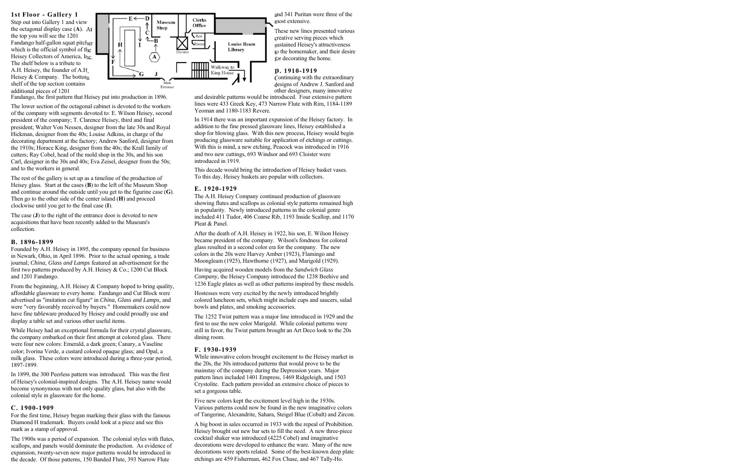**1st Floor - Gallery 1** 

Step out into Gallery 1 and view the octagonal display case ( **A**). At the top you will see the 1201 Fandango half-gallon squat pitcher which is the official symbol of the Heisey Collectors of America, Inc. The shelf below is a tribute to A.H. Heisey, the founder of A.H. Heisey & Company. The bottom shelf of the top section contains additional pieces of 1201



Fandango, the first pattern that Heisey put into production in 1896.

The lower section of the octagonal cabinet is devoted to the workers of the company with segments devoted to: E. Wilson Heisey, second president of the company; T. Clarence Heisey, third and final president; Walter Von Nessen, designer from the late 30s and Royal Hickman, designer from the 40s; Louise Adkins, in charge of the decorating department at the factory; Andrew Sanford, designer from the 1910s; Horace King, designer from the 40s; the Krall family of cutters; Ray Cobel, head of the mold shop in the 30s, and his son Carl, designer in the 30s and 40s; Eva Zeisel, designer from the 50s; and to the workers in general.

The rest of the gallery is set up as a timeline of the production of Heisey glass. Start at the cases ( **B**) to the left of the Museum Shop and continue around the outside until you get to the figurine case ( **G**). Then go to the other side of the center island ( **H**) and proceed clockwise until you get to the final case (**I**).

The case ( **J**) to the right of the entrance door is devoted to new acquisitions that have been recently added to the Museum's collection.

#### **B. 1896-1899**

Founded by A.H. Heisey in 1895, the company opened for business in Newark, Ohio, in April 1896. Prior to the actual opening, a trade journal; *China, Glass and Lamps* featured an advertisement for the first two patterns produced by A.H. Heisey & Co.; 1200 Cut Block and 1201 Fandango.

From the beginning, A.H. Heisey & Company hoped to bring quality, affordable glassware to every home. Fandango and Cut Block were advertised as "imitation cut figure" in *China, Glass and Lamps,* and were "very favorably received by buyers." Homemakers could now have fine tableware produced by Heisey and could proudly use and display a table set and various other useful items.

While Heisey had an exceptional formula for their crystal glassware, the company embarked on their first attempt at colored glass. There were four new colors: Emerald, a dark green; Canary, a Vaseline color; Ivorina Verde, a custard colored opaque glass; and Opal, a milk glass. These colors were introduced during a three-year period, 1897-1899.

In 1899, the 300 Peerless pattern was introduced. This was the first of Heisey's colonial-inspired designs. The A.H. Heisey name would become synonymous with not only quality glass, but also with the colonial style in glassware for the home.

#### **C. 1900-1909**

For the first time, Heisey began marking their glass with the famous Diamond H trademark. Buyers could look at a piece and see this mark as a stamp of approval.

The 1900s was a period of expansion. The colonial styles with flutes, scallops, and panels would dominate the production. As evidence of expansion, twenty-seven new major patterns would be introduced in the decade. Of those patterns, 150 Banded Flute, 393 Narrow Flute

and 341 Puritan were three of the most extensive.

These new lines presented various creative serving pieces which sustained Heisey's attractiveness to the homemaker, and their desire for decorating the home.

#### **D. 1910-1919**

Continuing with the extraordinary designs of Andrew J. Sanford and other designers, many innovative

and desirable patterns would be introduced. Four extensive pattern lines were 433 Greek Key, 473 Narrow Flute with Rim, 1184-1189 Yeoman and 1180-1183 Revere.

In 1914 there was an important expansion of the Heisey factory. In addition to the fine pressed glassware lines, Heisey established a shop for blowing glass. With this new process, Heisey would begin producing glassware suitable for application of etchings or cuttings. With this is mind, a new etching, Peacock was introduced in 1916 and two new cuttings, 693 Windsor and 693 Cloister were introduced in 1919.

This decade would bring the introduction of Heisey basket vases. To this day, Heisey baskets are popular with collectors.

#### **E. 1920-1929**

The A.H. Heisey Company continued production of glassware showing flutes and scallops as colonial style patterns remained high in popularity. Newly introduced patterns in the colonial genre included 411 Tudor, 406 Coarse Rib, 1193 Inside Scallop, and 1170 Pleat & Panel.

After the death of A.H. Heisey in 1922, his son, E. Wilson Heisey became president of the company. Wilson's fondness for colored glass resulted in a second color era for the company. The new colors in the 20s were Harvey Amber (1923), Flamingo and Moongleam (1925), Hawthorne (1927), and Marigold (1929).

Having acquired wooden models from the *Sandwich Glass Company,* the Heisey Company introduced the 1238 Beehive and 1236 Eagle plates as well as other patterns inspired by these models.

Hostesses were very excited by the newly introduced brightly colored luncheon sets, which might include cups and saucers, salad bowls and plates, and smoking accessories.

The 1252 Twist pattern was a major line introduced in 1929 and the first to use the new color Marigold. While colonial patterns were still in favor, the Twist pattern brought an Art Deco look to the 20s dining room.

#### **F. 1930-1939**

While innovative colors brought excitement to the Heisey market in the 20s, the 30s introduced patterns that would prove to be the mainstay of the company during the Depression years. Major pattern lines included 1401 Empress, 1469 Ridgeleigh, and 1503 Crystolite. Each pattern provided an extensive choice of pieces to set a gorgeous table.

Five new colors kept the excitement level high in the 1930s. Various patterns could now be found in the new imaginative colors of Tangerine, Alexandrite, Sahara, Steigel Blue (Cobalt) and Zircon.

A big boost in sales occurred in 1933 with the repeal of Prohibition. Heisey brought out new bar sets to fill the need. A new three-piece cocktail shaker was introduced (4225 Cobel) and imaginative decorations were developed to enhance the ware. Many of the new decorations were sports related. Some of the best-known deep plate etchings are 459 Fisherman, 462 Fox Chase, and 467 Tally-Ho.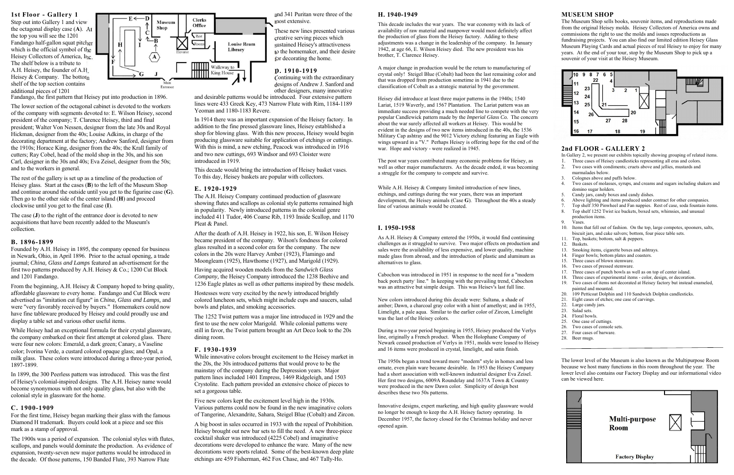#### **H. 1940-1949**

This decade includes the war years. The war economy with its lack of availability of raw material and manpower would most definitely affect the production of glass from the Heisey factory. Adding to these adjustments was a change in the leadership of the company. In January 1942, at age 66, E. Wilson Heisey died. The new president was his brother, T. Clarence Heisey.

A major change in production would be the return to manufacturing of crystal only! Steigel Blue (Cobalt) had been the last remaining color and that was dropped from production sometime in 1941 due to the classification of Cobalt as a strategic material by the government.

Heisey did introduce at least three major patterns in the 1940s; 1540 Lariat, 1519 Waverly, and 1567 Plantation. The Lariat pattern was an immediate success providing a much needed line to compete with the very popular Candlewick pattern made by the *Imperial Glass Co.* The concern about the war surely affected all workers at Heisey. This would be evident in the designs of two new items introduced in the 40s, the 1536 Military Cap ashtray and the 9012 Victory etching featuring an Eagle with wings upward in a "V." Perhaps Heisey is offering hope for the end of the war. Hope and victory - were realized in 1945.

The post war years contributed many economic problems for Heisey, as well as other major manufacturers. As the decade ended, it was becoming a struggle for the company to compete and survive.

While A.H. Heisey & Company limited introduction of new lines, etchings, and cuttings during the war years, there was an important development, the Heisey animals (Case **G**). Throughout the 40s a steady line of various animals would be created.

#### **I. 1950-1958**

As A.H. Heisey & Company entered the 1950s, it would find continuing challenges as it struggled to survive. Two major effects on production and sales were the availability of less expensive, and lower quality, machine made glass from abroad, and the introduction of plastic and aluminum as alternatives to glass.

Cabochon was introduced in 1951 in response to the need for a "modern back porch party- line." In keeping with the prevailing trend, Cabochon was an attractive but simple design. This was Heisev's last full line.

New colors introduced during this decade were: Sultana, a shade of amber; Dawn, a charcoal gray color with a hint of amethyst; and in 1955, Limelight, a pale aqua. Similar to the earlier color of Zircon, Limelight was the last of the Heisey colors.

During a two-year period beginning in 1955, Heisey produced the Verlys line, originally a French product. When the Holophane Company of Newark ceased production of Verlys in 1951, molds were leased to Heisey and 16 items were produced in crystal, limelight, and satin finish.

The 1950s began a trend toward more "modern" style in homes and less ornate, even plain ware became desirable. In 1953 the Heisey Company had a short association with well-known industrial designer Eva Zeisel. Her first two designs, 6009A Roundelay and 1637A Town & Country were produced in the new Dawn color. Simplicity of design best describes these two 50s patterns.

Innovative designs, expert marketing, and high quality glassware would no longer be enough to keep the A.H. Heisey factory operating. In December 1957, the factory closed for the Christmas holiday and never opened again.

#### **MUSEUM SHOP**

The Museum Shop sells books, souvenir items, and reproductions made from the original Heisey molds. Heisey Collectors of America owns and commissions the right to use the molds and issues reproductions as fundraising projects. You can also find our limited edition Heisey Glass Museum Playing Cards and actual pieces of real Heisey to enjoy for many years. At the end of your tour, stop by the Museum Shop to pick up a souvenir of your visit at the Heisey Museum.



### **2nd FLOOR - GALLERY 2**

- In Gallery 2, we present our exhibits topically showing grouping of related items.
- 1.Three cases of Heisey candlesticks representing all eras and colors.
- $\mathcal{L}$  Two cases with condiments; cruets above and jellies, mustards and marmalades below.
- 3. Colognes above and puffs below.<br>4. Two cases of molasses, syrups, at
- Two cases of molasses, syrups, and creams and sugars including shakers and domino sugar holders.
- 5. Candy jars, candy boxes and candy dishes.
- 6. Above lighting and items produced under contract for other companies.
- 7. Top shelf 350 Pinwheel and Fan nappies. Rest of case, soda fountain items.
- Top shelf 1252 Twist ice buckets, boxed sets, whimsies, and unusual production items.
- 9. Vases.
- 10. Items that fell out of fashion. On the top, large compotes, spooners, salts, biscuit jars, and cake salvers; bottom, four piece table sets.
- 11. Top, baskets; bottom, salt & peppers.
- 12. Baskets.
- 13. Smoking items, cigarette boxes and ashtrays.
- 14. Finger bowls; bottom plates and coasters.
- 15. Three cases of blown stemware.
- 16. Two cases of pressed stemware.
- 17. Three cases of punch bowls as well as on top of center island.
- 18. Three cases of experimental items color, design, or decoration.
- 19. Two cases of items not decorated at Heisey factory but instead enameled, painted and mounted.
- 20. 109 Petticoat Dolphin and 110 Sandwich Dolphin candlesticks.
- 21. Eight cases of etches; one case of carvings.
- 22. Large candy jars.<br>23. Salad sets.
- Salad sets.
- 24. Floral bowls.
- 25. One case of cuttings.
- 26. Two cases of console sets.
- 27. Four cases of barware.
- 28. Beer mugs.

The lower level of the Museum is also known as the Multipurpose Room because we host many functions in this room throughout the year. The lower level also contains our Factory Display and our informational video can be viewed here.